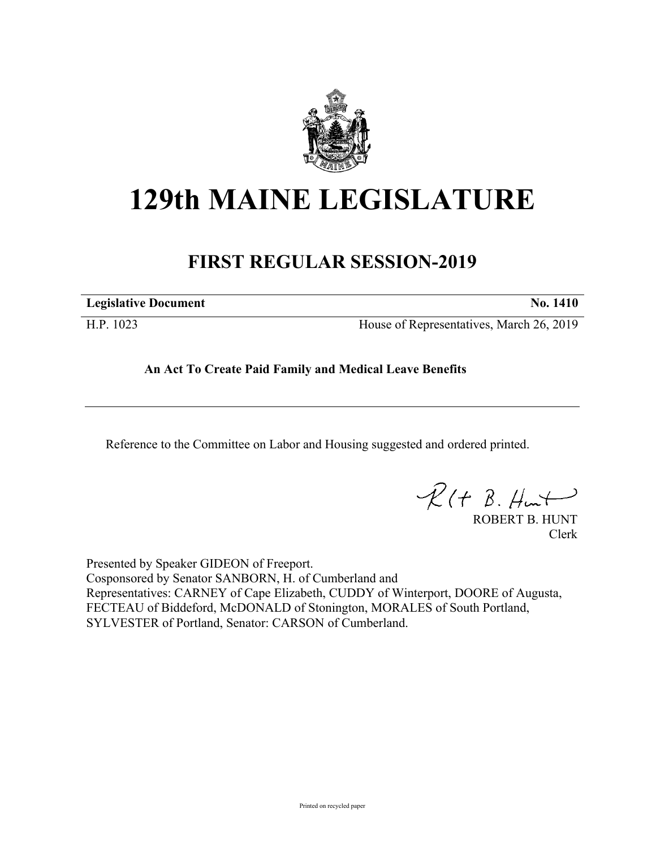

# **129th MAINE LEGISLATURE**

# **FIRST REGULAR SESSION-2019**

**Legislative Document No. 1410**

H.P. 1023 House of Representatives, March 26, 2019

**An Act To Create Paid Family and Medical Leave Benefits**

Reference to the Committee on Labor and Housing suggested and ordered printed.

 $R(H B. Hmt)$ 

ROBERT B. HUNT Clerk

Presented by Speaker GIDEON of Freeport. Cosponsored by Senator SANBORN, H. of Cumberland and Representatives: CARNEY of Cape Elizabeth, CUDDY of Winterport, DOORE of Augusta, FECTEAU of Biddeford, McDONALD of Stonington, MORALES of South Portland, SYLVESTER of Portland, Senator: CARSON of Cumberland.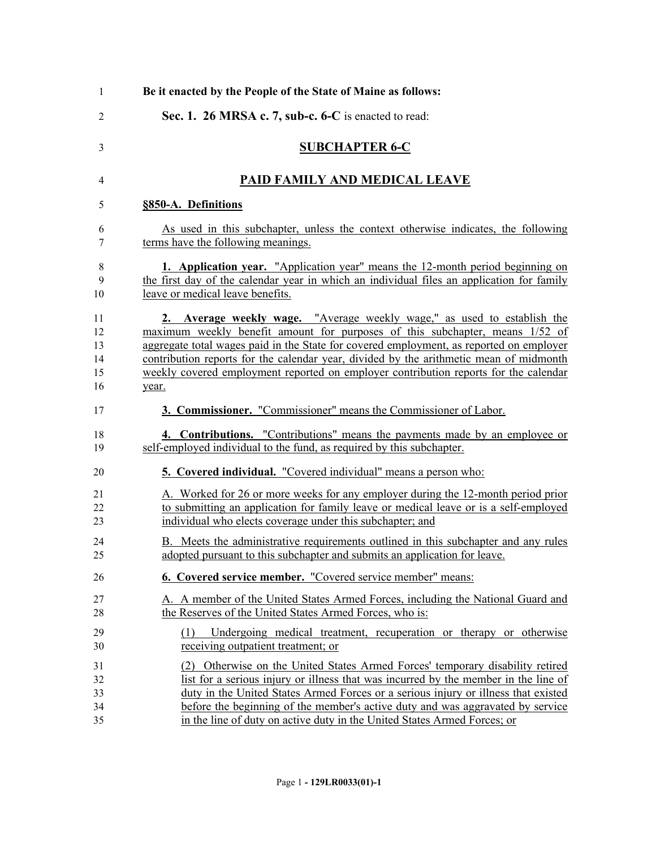| 1              | Be it enacted by the People of the State of Maine as follows:                             |
|----------------|-------------------------------------------------------------------------------------------|
| $\overline{2}$ | Sec. 1. 26 MRSA c. 7, sub-c. 6-C is enacted to read:                                      |
| 3              | <b>SUBCHAPTER 6-C</b>                                                                     |
| 4              | PAID FAMILY AND MEDICAL LEAVE                                                             |
| 5              | §850-A. Definitions                                                                       |
| 6              | As used in this subchapter, unless the context otherwise indicates, the following         |
| 7              | terms have the following meanings.                                                        |
| 8              | 1. Application year. "Application year" means the 12-month period beginning on            |
| 9              | the first day of the calendar year in which an individual files an application for family |
| 10             | leave or medical leave benefits.                                                          |
| 11             | 2. Average weekly wage. "Average weekly wage," as used to establish the                   |
| 12             | maximum weekly benefit amount for purposes of this subchapter, means 1/52 of              |
| 13             | aggregate total wages paid in the State for covered employment, as reported on employer   |
| 14             | contribution reports for the calendar year, divided by the arithmetic mean of midmonth    |
| 15             | weekly covered employment reported on employer contribution reports for the calendar      |
| 16             | year.                                                                                     |
| 17             | 3. Commissioner. "Commissioner" means the Commissioner of Labor.                          |
| 18             | 4. Contributions. "Contributions" means the payments made by an employee or               |
| 19             | self-employed individual to the fund, as required by this subchapter.                     |
| 20             | <b>5. Covered individual.</b> "Covered individual" means a person who:                    |
| 21             | A. Worked for 26 or more weeks for any employer during the 12-month period prior          |
| 22             | to submitting an application for family leave or medical leave or is a self-employed      |
| 23             | individual who elects coverage under this subchapter; and                                 |
| 24             | B. Meets the administrative requirements outlined in this subchapter and any rules        |
| 25             | adopted pursuant to this subchapter and submits an application for leave.                 |
| 26             | 6. Covered service member. "Covered service member" means:                                |
| 27             | A. A member of the United States Armed Forces, including the National Guard and           |
| 28             | the Reserves of the United States Armed Forces, who is:                                   |
| 29             | (1) Undergoing medical treatment, recuperation or therapy or otherwise                    |
| 30             | receiving outpatient treatment; or                                                        |
| 31             | (2) Otherwise on the United States Armed Forces' temporary disability retired             |
| 32             | list for a serious injury or illness that was incurred by the member in the line of       |
| 33             | duty in the United States Armed Forces or a serious injury or illness that existed        |
| 34             | before the beginning of the member's active duty and was aggravated by service            |
| 35             | in the line of duty on active duty in the United States Armed Forces; or                  |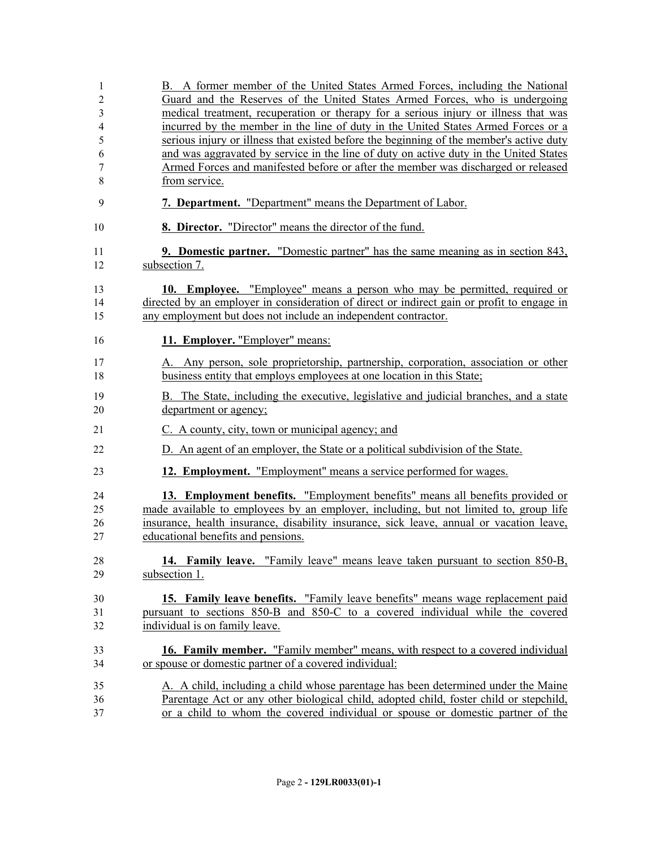| 1  | B. A former member of the United States Armed Forces, including the National               |
|----|--------------------------------------------------------------------------------------------|
| 2  | Guard and the Reserves of the United States Armed Forces, who is undergoing                |
| 3  | medical treatment, recuperation or therapy for a serious injury or illness that was        |
| 4  | incurred by the member in the line of duty in the United States Armed Forces or a          |
| 5  | serious injury or illness that existed before the beginning of the member's active duty    |
| 6  | and was aggravated by service in the line of duty on active duty in the United States      |
| 7  | Armed Forces and manifested before or after the member was discharged or released          |
| 8  | from service.                                                                              |
| 9  | 7. Department. "Department" means the Department of Labor.                                 |
| 10 | 8. Director. "Director" means the director of the fund.                                    |
| 11 | <b>9. Domestic partner.</b> "Domestic partner" has the same meaning as in section 843,     |
| 12 | subsection 7.                                                                              |
| 13 | 10. Employee. "Employee" means a person who may be permitted, required or                  |
| 14 | directed by an employer in consideration of direct or indirect gain or profit to engage in |
| 15 | any employment but does not include an independent contractor.                             |
| 16 | 11. Employer. "Employer" means:                                                            |
| 17 | A. Any person, sole proprietorship, partnership, corporation, association or other         |
| 18 | business entity that employs employees at one location in this State;                      |
|    |                                                                                            |
| 19 | B. The State, including the executive, legislative and judicial branches, and a state      |
| 20 | department or agency;                                                                      |
| 21 | C. A county, city, town or municipal agency; and                                           |
| 22 | D. An agent of an employer, the State or a political subdivision of the State.             |
| 23 | 12. Employment. "Employment" means a service performed for wages.                          |
| 24 | 13. Employment benefits. "Employment benefits" means all benefits provided or              |
| 25 | made available to employees by an employer, including, but not limited to, group life      |
| 26 | insurance, health insurance, disability insurance, sick leave, annual or vacation leave,   |
| 27 | educational benefits and pensions.                                                         |
|    |                                                                                            |
| 28 | 14. Family leave. "Family leave" means leave taken pursuant to section 850-B,              |
| 29 | subsection 1.                                                                              |
| 30 | <b>15. Family leave benefits.</b> "Family leave benefits" means wage replacement paid      |
| 31 | pursuant to sections 850-B and 850-C to a covered individual while the covered             |
| 32 | individual is on family leave.                                                             |
| 33 | <b>16. Family member.</b> "Family member" means, with respect to a covered individual      |
| 34 | or spouse or domestic partner of a covered individual:                                     |
|    |                                                                                            |
| 35 | A. A child, including a child whose parentage has been determined under the Maine          |
| 36 | Parentage Act or any other biological child, adopted child, foster child or stepchild,     |
| 37 | or a child to whom the covered individual or spouse or domestic partner of the             |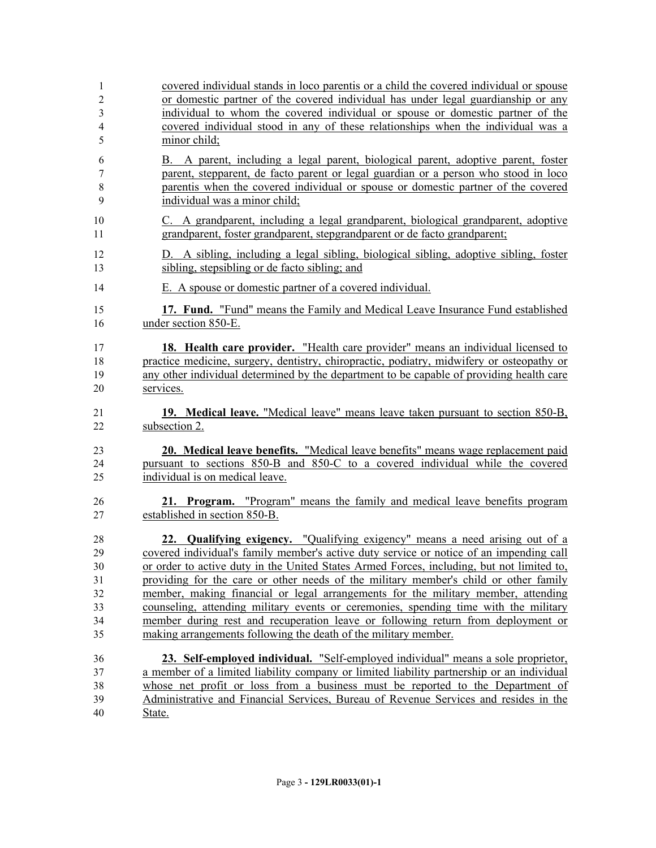| 1              | covered individual stands in loco parentis or a child the covered individual or spouse                                                                             |
|----------------|--------------------------------------------------------------------------------------------------------------------------------------------------------------------|
| $\overline{c}$ | or domestic partner of the covered individual has under legal guardianship or any                                                                                  |
| 3              | individual to whom the covered individual or spouse or domestic partner of the                                                                                     |
| 4              | covered individual stood in any of these relationships when the individual was a                                                                                   |
| 5              | minor child;                                                                                                                                                       |
| 6              | B. A parent, including a legal parent, biological parent, adoptive parent, foster                                                                                  |
| 7              | parent, stepparent, de facto parent or legal guardian or a person who stood in loco                                                                                |
| $8\,$          | parentis when the covered individual or spouse or domestic partner of the covered                                                                                  |
| 9              | individual was a minor child;                                                                                                                                      |
| 10             | C. A grandparent, including a legal grandparent, biological grandparent, adoptive                                                                                  |
| 11             | grandparent, foster grandparent, stepgrandparent or de facto grandparent;                                                                                          |
| 12             | D. A sibling, including a legal sibling, biological sibling, adoptive sibling, foster                                                                              |
| 13             | sibling, stepsibling or de facto sibling; and                                                                                                                      |
| 14             | E. A spouse or domestic partner of a covered individual.                                                                                                           |
| 15             | 17. Fund. "Fund" means the Family and Medical Leave Insurance Fund established                                                                                     |
| 16             | under section 850-E.                                                                                                                                               |
| 17             | 18. Health care provider. "Health care provider" means an individual licensed to                                                                                   |
| 18             | practice medicine, surgery, dentistry, chiropractic, podiatry, midwifery or osteopathy or                                                                          |
| 19             | any other individual determined by the department to be capable of providing health care                                                                           |
| 20             | services.                                                                                                                                                          |
| 21             | 19. Medical leave. "Medical leave" means leave taken pursuant to section 850-B,                                                                                    |
| 22             | subsection 2.                                                                                                                                                      |
| 23<br>24<br>25 | 20. Medical leave benefits. "Medical leave benefits" means wage replacement paid<br>pursuant to sections 850-B and 850-C to a covered individual while the covered |
|                | individual is on medical leave.                                                                                                                                    |
| 26             | 21. Program. "Program" means the family and medical leave benefits program                                                                                         |
| 27             | established in section 850-B.                                                                                                                                      |
| 28             | 22. Qualifying exigency. "Qualifying exigency" means a need arising out of a                                                                                       |
| 29             | covered individual's family member's active duty service or notice of an impending call                                                                            |
| 30             | or order to active duty in the United States Armed Forces, including, but not limited to,                                                                          |
| 31             | providing for the care or other needs of the military member's child or other family                                                                               |
| 32             | member, making financial or legal arrangements for the military member, attending                                                                                  |
| 33             | counseling, attending military events or ceremonies, spending time with the military                                                                               |
| 34             | member during rest and recuperation leave or following return from deployment or                                                                                   |
| 35             | making arrangements following the death of the military member.                                                                                                    |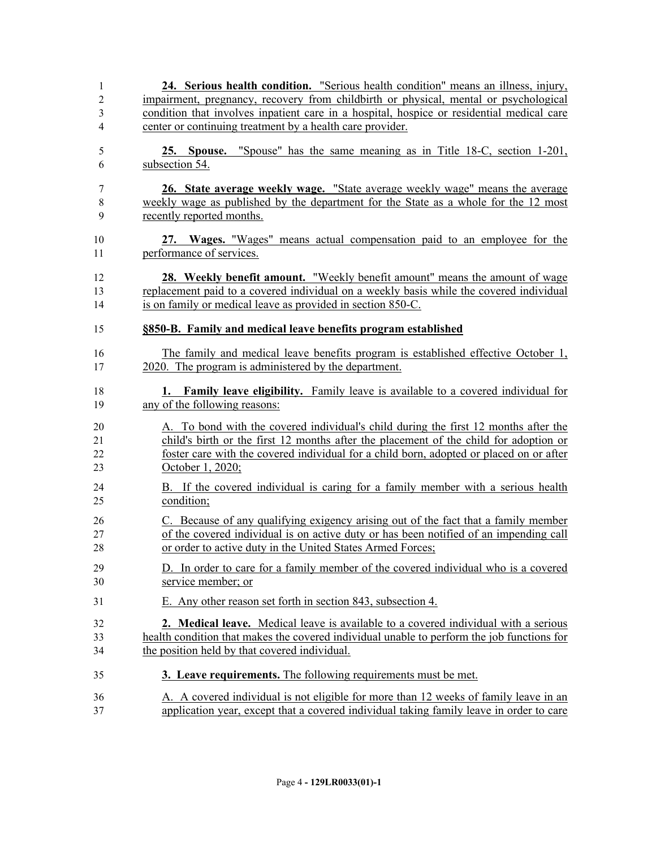| 1              | 24. Serious health condition. "Serious health condition" means an illness, injury,                                                                                            |
|----------------|-------------------------------------------------------------------------------------------------------------------------------------------------------------------------------|
| $\overline{c}$ | impairment, pregnancy, recovery from childbirth or physical, mental or psychological                                                                                          |
| 3              | condition that involves inpatient care in a hospital, hospice or residential medical care                                                                                     |
| 4              | center or continuing treatment by a health care provider.                                                                                                                     |
| 5              | 25. Spouse. "Spouse" has the same meaning as in Title 18-C, section 1-201,                                                                                                    |
| 6              | subsection 54.                                                                                                                                                                |
|                |                                                                                                                                                                               |
| 7              | 26. State average weekly wage. "State average weekly wage" means the average                                                                                                  |
| 8              | weekly wage as published by the department for the State as a whole for the 12 most                                                                                           |
| 9              | recently reported months.                                                                                                                                                     |
| 10             | 27. Wages. "Wages" means actual compensation paid to an employee for the                                                                                                      |
| 11             | performance of services.                                                                                                                                                      |
|                |                                                                                                                                                                               |
| 12             | <b>28.</b> Weekly benefit amount. "Weekly benefit amount" means the amount of wage<br>replacement paid to a covered individual on a weekly basis while the covered individual |
| 13<br>14       | is on family or medical leave as provided in section 850-C.                                                                                                                   |
|                |                                                                                                                                                                               |
| 15             | §850-B. Family and medical leave benefits program established                                                                                                                 |
| 16             | The family and medical leave benefits program is established effective October 1,                                                                                             |
| 17             | 2020. The program is administered by the department.                                                                                                                          |
|                |                                                                                                                                                                               |
| 18             | <b>1.</b> Family leave eligibility. Family leave is available to a covered individual for                                                                                     |
| 19             | any of the following reasons:                                                                                                                                                 |
| 20             | A. To bond with the covered individual's child during the first 12 months after the                                                                                           |
| 21             | child's birth or the first 12 months after the placement of the child for adoption or                                                                                         |
| 22             | foster care with the covered individual for a child born, adopted or placed on or after                                                                                       |
| 23             | October 1, 2020;                                                                                                                                                              |
| 24             | B. If the covered individual is caring for a family member with a serious health                                                                                              |
| 25             | condition;                                                                                                                                                                    |
| 26             | C. Because of any qualifying exigency arising out of the fact that a family member                                                                                            |
| 27             | of the covered individual is on active duty or has been notified of an impending call                                                                                         |
| 28             | or order to active duty in the United States Armed Forces;                                                                                                                    |
|                |                                                                                                                                                                               |
| 29<br>30       | D. In order to care for a family member of the covered individual who is a covered<br>service member; or                                                                      |
|                |                                                                                                                                                                               |
| 31             | E. Any other reason set forth in section 843, subsection 4.                                                                                                                   |
| 32             | <b>2. Medical leave.</b> Medical leave is available to a covered individual with a serious                                                                                    |
| 33             | health condition that makes the covered individual unable to perform the job functions for                                                                                    |
| 34             | the position held by that covered individual.                                                                                                                                 |
| 35             | 3. Leave requirements. The following requirements must be met.                                                                                                                |
| 36             | A. A covered individual is not eligible for more than 12 weeks of family leave in an                                                                                          |
| 37             | application year, except that a covered individual taking family leave in order to care                                                                                       |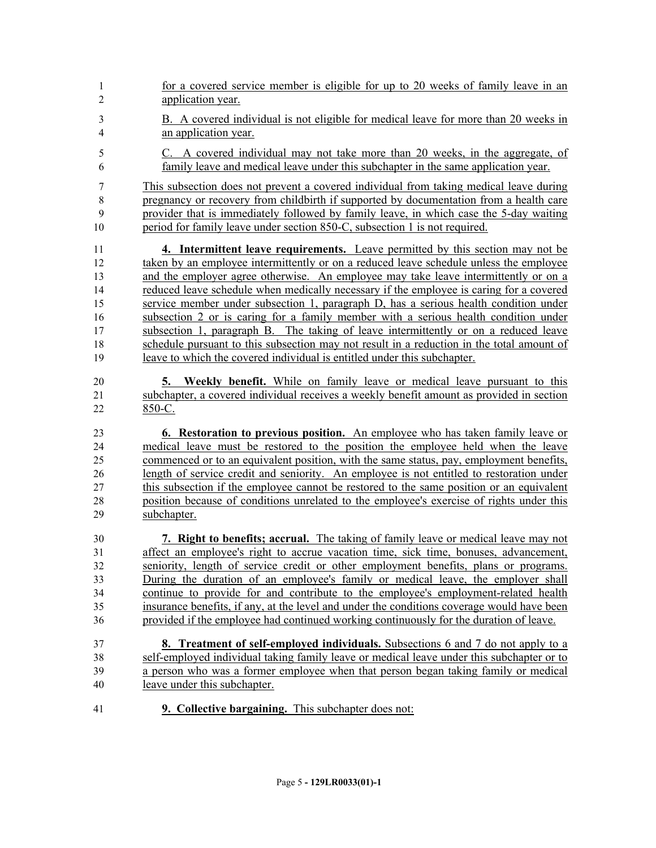1 for a covered service member is eligible for up to 20 weeks of family leave in an application year. B. A covered individual is not eligible for medical leave for more than 20 weeks in an application year. C. A covered individual may not take more than 20 weeks, in the aggregate, of family leave and medical leave under this subchapter in the same application year. This subsection does not prevent a covered individual from taking medical leave during pregnancy or recovery from childbirth if supported by documentation from a health care provider that is immediately followed by family leave, in which case the 5-day waiting period for family leave under section 850-C, subsection 1 is not required. **4. Intermittent leave requirements.** Leave permitted by this section may not be taken by an employee intermittently or on a reduced leave schedule unless the employee and the employer agree otherwise. An employee may take leave intermittently or on a reduced leave schedule when medically necessary if the employee is caring for a covered service member under subsection 1, paragraph D, has a serious health condition under subsection 2 or is caring for a family member with a serious health condition under subsection 1, paragraph B. The taking of leave intermittently or on a reduced leave schedule pursuant to this subsection may not result in a reduction in the total amount of leave to which the covered individual is entitled under this subchapter. **5. Weekly benefit.** While on family leave or medical leave pursuant to this subchapter, a covered individual receives a weekly benefit amount as provided in section 850-C. **6. Restoration to previous position.** An employee who has taken family leave or medical leave must be restored to the position the employee held when the leave commenced or to an equivalent position, with the same status, pay, employment benefits, length of service credit and seniority. An employee is not entitled to restoration under this subsection if the employee cannot be restored to the same position or an equivalent position because of conditions unrelated to the employee's exercise of rights under this subchapter. **7. Right to benefits; accrual.** The taking of family leave or medical leave may not affect an employee's right to accrue vacation time, sick time, bonuses, advancement, seniority, length of service credit or other employment benefits, plans or programs. During the duration of an employee's family or medical leave, the employer shall continue to provide for and contribute to the employee's employment-related health insurance benefits, if any, at the level and under the conditions coverage would have been provided if the employee had continued working continuously for the duration of leave. **8. Treatment of self-employed individuals.** Subsections 6 and 7 do not apply to a self-employed individual taking family leave or medical leave under this subchapter or to a person who was a former employee when that person began taking family or medical leave under this subchapter. **9. Collective bargaining.** This subchapter does not: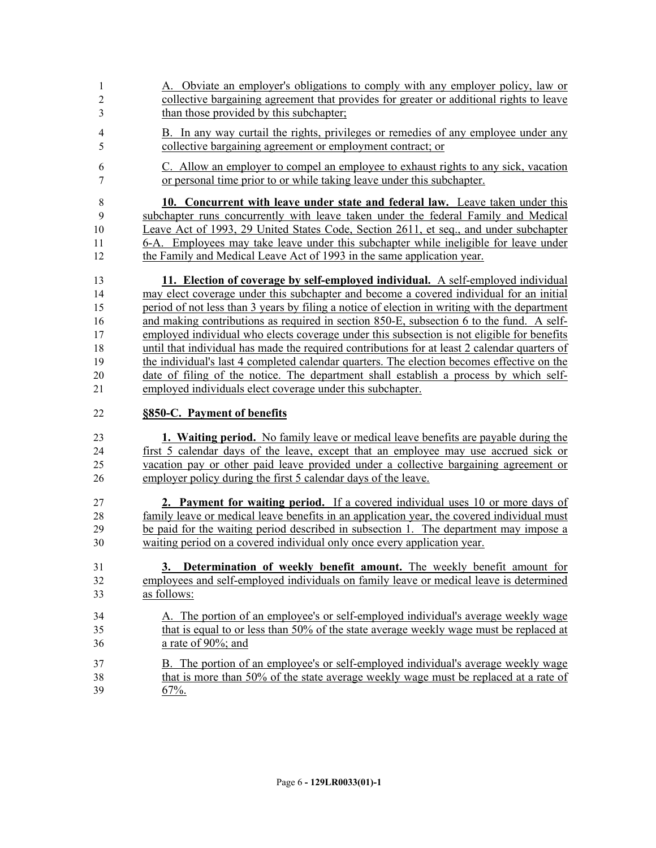- A. Obviate an employer's obligations to comply with any employer policy, law or collective bargaining agreement that provides for greater or additional rights to leave than those provided by this subchapter;
- B. In any way curtail the rights, privileges or remedies of any employee under any collective bargaining agreement or employment contract; or
- C. Allow an employer to compel an employee to exhaust rights to any sick, vacation or personal time prior to or while taking leave under this subchapter.

 **10. Concurrent with leave under state and federal law.** Leave taken under this subchapter runs concurrently with leave taken under the federal Family and Medical Leave Act of 1993, 29 United States Code, Section 2611, et seq., and under subchapter 6-A. Employees may take leave under this subchapter while ineligible for leave under the Family and Medical Leave Act of 1993 in the same application year.

 **11. Election of coverage by self-employed individual.** A self-employed individual may elect coverage under this subchapter and become a covered individual for an initial period of not less than 3 years by filing a notice of election in writing with the department and making contributions as required in section 850-E, subsection 6 to the fund. A self- employed individual who elects coverage under this subsection is not eligible for benefits until that individual has made the required contributions for at least 2 calendar quarters of the individual's last 4 completed calendar quarters. The election becomes effective on the date of filing of the notice. The department shall establish a process by which self-employed individuals elect coverage under this subchapter.

## **§850-C. Payment of benefits**

 **1. Waiting period.** No family leave or medical leave benefits are payable during the first 5 calendar days of the leave, except that an employee may use accrued sick or vacation pay or other paid leave provided under a collective bargaining agreement or employer policy during the first 5 calendar days of the leave.

 **2. Payment for waiting period.** If a covered individual uses 10 or more days of family leave or medical leave benefits in an application year, the covered individual must be paid for the waiting period described in subsection 1. The department may impose a waiting period on a covered individual only once every application year.

- **3. Determination of weekly benefit amount.** The weekly benefit amount for employees and self-employed individuals on family leave or medical leave is determined as follows:
- A. The portion of an employee's or self-employed individual's average weekly wage that is equal to or less than 50% of the state average weekly wage must be replaced at a rate of 90%; and
- B. The portion of an employee's or self-employed individual's average weekly wage 38 that is more than 50% of the state average weekly wage must be replaced at a rate of 39 67%.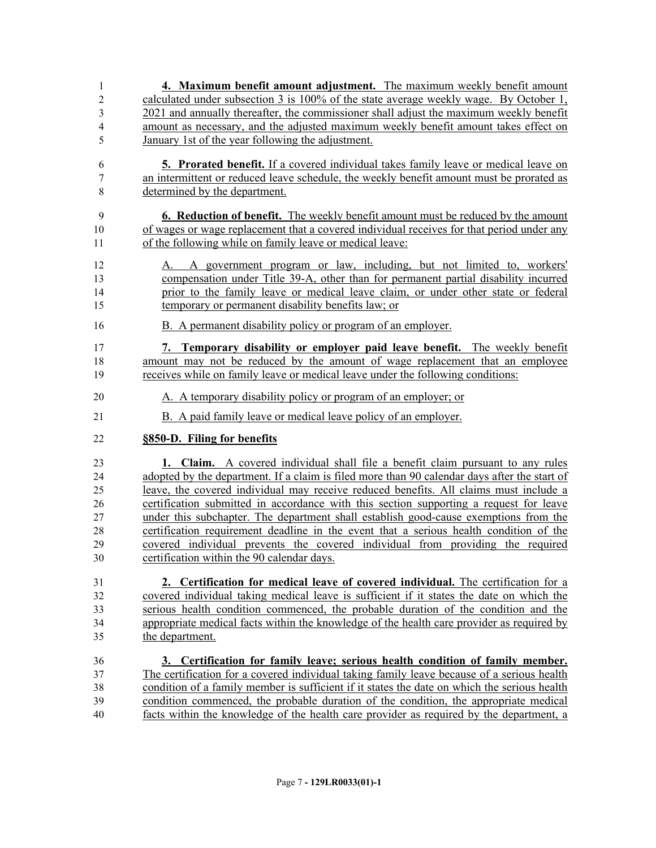| 1              | 4. Maximum benefit amount adjustment. The maximum weekly benefit amount                      |
|----------------|----------------------------------------------------------------------------------------------|
| $\overline{c}$ | calculated under subsection 3 is 100% of the state average weekly wage. By October 1,        |
| 3              | 2021 and annually thereafter, the commissioner shall adjust the maximum weekly benefit       |
| 4              | amount as necessary, and the adjusted maximum weekly benefit amount takes effect on          |
| 5              | January 1st of the year following the adjustment.                                            |
| 6              | <b>5.</b> Prorated benefit. If a covered individual takes family leave or medical leave on   |
| 7              | an intermittent or reduced leave schedule, the weekly benefit amount must be prorated as     |
| $\,8\,$        | determined by the department.                                                                |
| 9              | <b>6. Reduction of benefit.</b> The weekly benefit amount must be reduced by the amount      |
| 10             | of wages or wage replacement that a covered individual receives for that period under any    |
| 11             | of the following while on family leave or medical leave:                                     |
| 12             | A government program or law, including, but not limited to, workers'<br>А.                   |
| 13             | compensation under Title 39-A, other than for permanent partial disability incurred          |
| 14             | prior to the family leave or medical leave claim, or under other state or federal            |
| 15             | temporary or permanent disability benefits law; or                                           |
| 16             | B. A permanent disability policy or program of an employer.                                  |
| 17             | 7. Temporary disability or employer paid leave benefit. The weekly benefit                   |
| 18             | amount may not be reduced by the amount of wage replacement that an employee                 |
| 19             | receives while on family leave or medical leave under the following conditions:              |
| 20             | A. A temporary disability policy or program of an employer; or                               |
| 21             | B. A paid family leave or medical leave policy of an employer.                               |
| 22             | §850-D. Filing for benefits                                                                  |
| 23             | <b>1. Claim.</b> A covered individual shall file a benefit claim pursuant to any rules       |
| 24             | adopted by the department. If a claim is filed more than 90 calendar days after the start of |
| 25             | leave, the covered individual may receive reduced benefits. All claims must include a        |
| 26             | certification submitted in accordance with this section supporting a request for leave       |
| 27             | under this subchapter. The department shall establish good-cause exemptions from the         |
| 28             | certification requirement deadline in the event that a serious health condition of the       |
| 29             | covered individual prevents the covered individual from providing the required               |
| 30             | certification within the 90 calendar days.                                                   |
| 31             | 2. Certification for medical leave of covered individual. The certification for a            |
| 32             | covered individual taking medical leave is sufficient if it states the date on which the     |
| 33             | serious health condition commenced, the probable duration of the condition and the           |
| 34             | appropriate medical facts within the knowledge of the health care provider as required by    |
| 35             | the department.                                                                              |
| 36             | 3. Certification for family leave; serious health condition of family member.                |
| 37             | The certification for a covered individual taking family leave because of a serious health   |
| 38             | condition of a family member is sufficient if it states the date on which the serious health |
| 39             | condition commenced, the probable duration of the condition, the appropriate medical         |
| 40             | facts within the knowledge of the health care provider as required by the department, a      |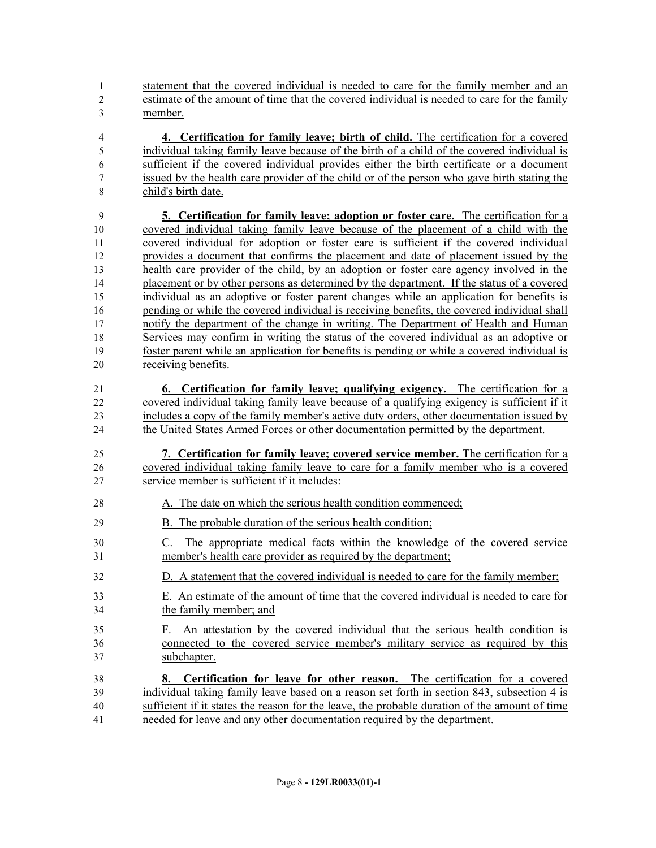statement that the covered individual is needed to care for the family member and an estimate of the amount of time that the covered individual is needed to care for the family member.

 **4. Certification for family leave; birth of child.** The certification for a covered individual taking family leave because of the birth of a child of the covered individual is sufficient if the covered individual provides either the birth certificate or a document issued by the health care provider of the child or of the person who gave birth stating the child's birth date.

 **5. Certification for family leave; adoption or foster care.** The certification for a covered individual taking family leave because of the placement of a child with the covered individual for adoption or foster care is sufficient if the covered individual provides a document that confirms the placement and date of placement issued by the health care provider of the child, by an adoption or foster care agency involved in the placement or by other persons as determined by the department. If the status of a covered individual as an adoptive or foster parent changes while an application for benefits is pending or while the covered individual is receiving benefits, the covered individual shall notify the department of the change in writing. The Department of Health and Human Services may confirm in writing the status of the covered individual as an adoptive or foster parent while an application for benefits is pending or while a covered individual is receiving benefits.

 **6. Certification for family leave; qualifying exigency.** The certification for a covered individual taking family leave because of a qualifying exigency is sufficient if it includes a copy of the family member's active duty orders, other documentation issued by 24 the United States Armed Forces or other documentation permitted by the department.

 **7. Certification for family leave; covered service member.** The certification for a covered individual taking family leave to care for a family member who is a covered service member is sufficient if it includes:

- 28 A. The date on which the serious health condition commenced;
- B. The probable duration of the serious health condition;
- C. The appropriate medical facts within the knowledge of the covered service member's health care provider as required by the department;
- D. A statement that the covered individual is needed to care for the family member;
- E. An estimate of the amount of time that the covered individual is needed to care for the family member; and
- F. An attestation by the covered individual that the serious health condition is connected to the covered service member's military service as required by this subchapter.
- **8. Certification for leave for other reason.** The certification for a covered individual taking family leave based on a reason set forth in section 843, subsection 4 is sufficient if it states the reason for the leave, the probable duration of the amount of time needed for leave and any other documentation required by the department.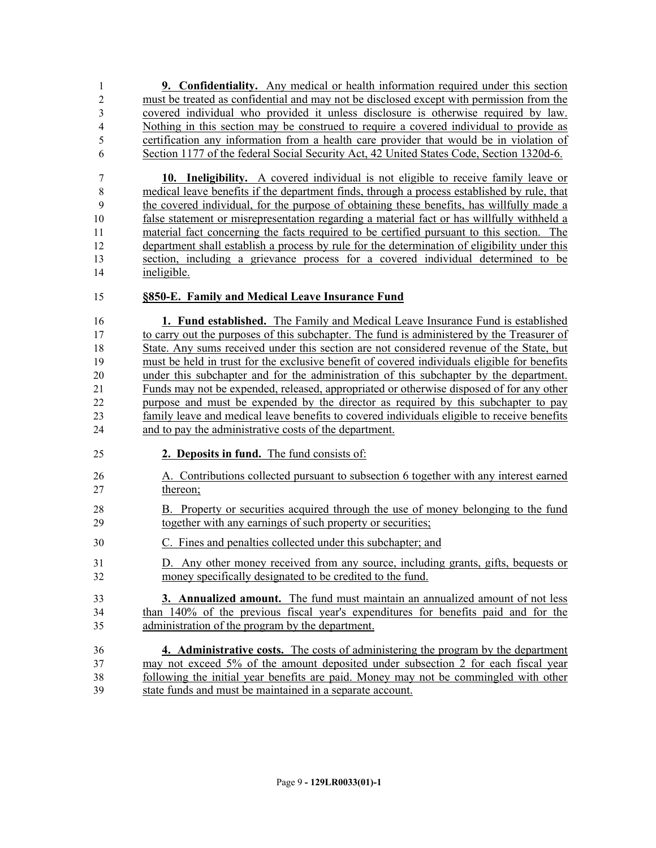**9. Confidentiality.** Any medical or health information required under this section must be treated as confidential and may not be disclosed except with permission from the covered individual who provided it unless disclosure is otherwise required by law. Nothing in this section may be construed to require a covered individual to provide as certification any information from a health care provider that would be in violation of Section 1177 of the federal Social Security Act, 42 United States Code, Section 1320d-6.

 **10. Ineligibility.** A covered individual is not eligible to receive family leave or medical leave benefits if the department finds, through a process established by rule, that the covered individual, for the purpose of obtaining these benefits, has willfully made a false statement or misrepresentation regarding a material fact or has willfully withheld a material fact concerning the facts required to be certified pursuant to this section. The department shall establish a process by rule for the determination of eligibility under this section, including a grievance process for a covered individual determined to be ineligible.

#### **§850-E. Family and Medical Leave Insurance Fund**

 **1. Fund established.** The Family and Medical Leave Insurance Fund is established to carry out the purposes of this subchapter. The fund is administered by the Treasurer of State. Any sums received under this section are not considered revenue of the State, but must be held in trust for the exclusive benefit of covered individuals eligible for benefits under this subchapter and for the administration of this subchapter by the department. Funds may not be expended, released, appropriated or otherwise disposed of for any other purpose and must be expended by the director as required by this subchapter to pay family leave and medical leave benefits to covered individuals eligible to receive benefits and to pay the administrative costs of the department.

- **2. Deposits in fund.** The fund consists of:
- A. Contributions collected pursuant to subsection 6 together with any interest earned thereon;
- B. Property or securities acquired through the use of money belonging to the fund together with any earnings of such property or securities;
- C. Fines and penalties collected under this subchapter; and
- D. Any other money received from any source, including grants, gifts, bequests or money specifically designated to be credited to the fund.
- **3. Annualized amount.** The fund must maintain an annualized amount of not less than 140% of the previous fiscal year's expenditures for benefits paid and for the administration of the program by the department.
- **4. Administrative costs.** The costs of administering the program by the department may not exceed 5% of the amount deposited under subsection 2 for each fiscal year following the initial year benefits are paid. Money may not be commingled with other state funds and must be maintained in a separate account.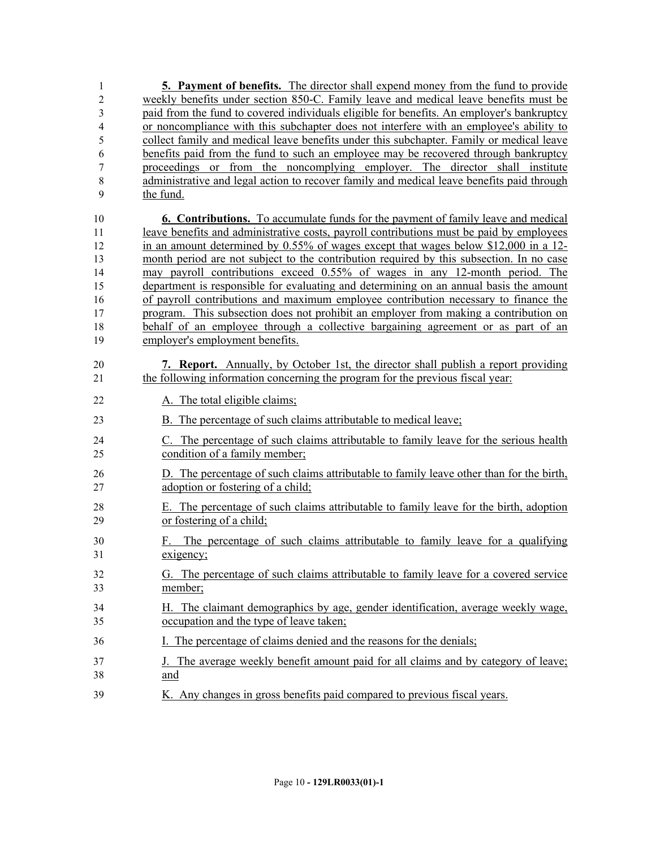**5. Payment of benefits.** The director shall expend money from the fund to provide weekly benefits under section 850-C. Family leave and medical leave benefits must be paid from the fund to covered individuals eligible for benefits. An employer's bankruptcy or noncompliance with this subchapter does not interfere with an employee's ability to collect family and medical leave benefits under this subchapter. Family or medical leave benefits paid from the fund to such an employee may be recovered through bankruptcy proceedings or from the noncomplying employer. The director shall institute administrative and legal action to recover family and medical leave benefits paid through the fund. **6. Contributions.** To accumulate funds for the payment of family leave and medical leave benefits and administrative costs, payroll contributions must be paid by employees in an amount determined by 0.55% of wages except that wages below \$12,000 in a 12- month period are not subject to the contribution required by this subsection. In no case may payroll contributions exceed 0.55% of wages in any 12-month period. The department is responsible for evaluating and determining on an annual basis the amount of payroll contributions and maximum employee contribution necessary to finance the program. This subsection does not prohibit an employer from making a contribution on behalf of an employee through a collective bargaining agreement or as part of an employer's employment benefits. **7. Report.** Annually, by October 1st, the director shall publish a report providing the following information concerning the program for the previous fiscal year: 22 A. The total eligible claims; B. The percentage of such claims attributable to medical leave; C. The percentage of such claims attributable to family leave for the serious health condition of a family member; D. The percentage of such claims attributable to family leave other than for the birth, adoption or fostering of a child; E. The percentage of such claims attributable to family leave for the birth, adoption or fostering of a child; F. The percentage of such claims attributable to family leave for a qualifying exigency; G. The percentage of such claims attributable to family leave for a covered service member; H. The claimant demographics by age, gender identification, average weekly wage, occupation and the type of leave taken; I. The percentage of claims denied and the reasons for the denials; J. The average weekly benefit amount paid for all claims and by category of leave; and K. Any changes in gross benefits paid compared to previous fiscal years.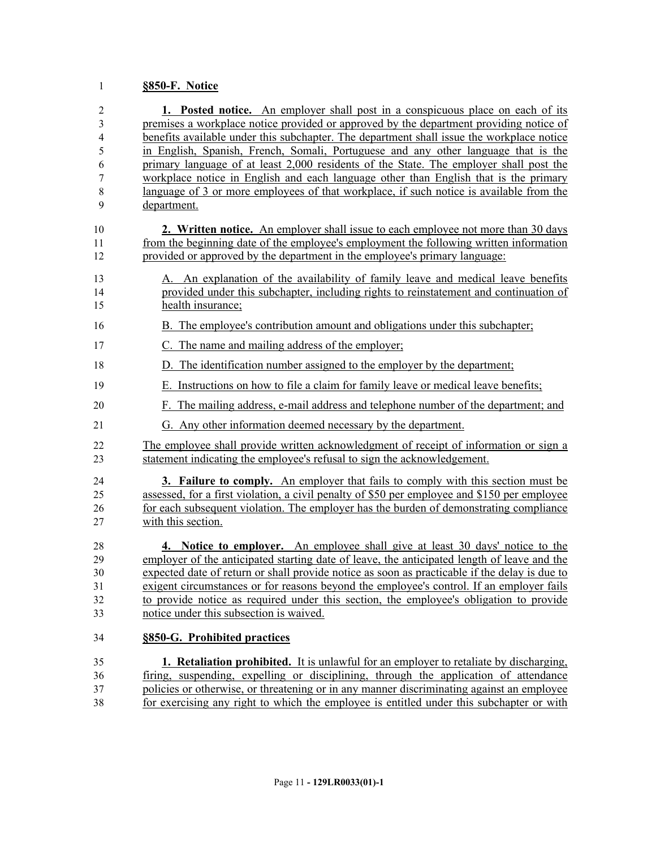## **§850-F. Notice**

| $\mathfrak{2}$           | 1. Posted notice. An employer shall post in a conspicuous place on each of its                |
|--------------------------|-----------------------------------------------------------------------------------------------|
| 3                        | premises a workplace notice provided or approved by the department providing notice of        |
| $\overline{\mathcal{A}}$ | benefits available under this subchapter. The department shall issue the workplace notice     |
| 5                        | in English, Spanish, French, Somali, Portuguese and any other language that is the            |
| 6                        | primary language of at least 2,000 residents of the State. The employer shall post the        |
| 7                        | workplace notice in English and each language other than English that is the primary          |
| 8                        | language of 3 or more employees of that workplace, if such notice is available from the       |
| 9                        | department.                                                                                   |
| 10                       | 2. Written notice. An employer shall issue to each employee not more than 30 days             |
| 11                       | from the beginning date of the employee's employment the following written information        |
| 12                       | provided or approved by the department in the employee's primary language:                    |
| 13                       | A. An explanation of the availability of family leave and medical leave benefits              |
| 14                       | provided under this subchapter, including rights to reinstatement and continuation of         |
| 15                       | health insurance;                                                                             |
| 16                       | B. The employee's contribution amount and obligations under this subchapter;                  |
| 17                       | C. The name and mailing address of the employer;                                              |
| 18                       | D. The identification number assigned to the employer by the department;                      |
| 19                       | E. Instructions on how to file a claim for family leave or medical leave benefits;            |
| 20                       | F. The mailing address, e-mail address and telephone number of the department; and            |
| 21                       | G. Any other information deemed necessary by the department.                                  |
| 22                       | The employee shall provide written acknowledgment of receipt of information or sign a         |
| 23                       | statement indicating the employee's refusal to sign the acknowledgement.                      |
| 24                       | <b>3. Failure to comply.</b> An employer that fails to comply with this section must be       |
| 25                       | assessed, for a first violation, a civil penalty of \$50 per employee and \$150 per employee  |
| 26                       | for each subsequent violation. The employer has the burden of demonstrating compliance        |
| 27                       | with this section.                                                                            |
| 28                       | 4. Notice to employer. An employee shall give at least 30 days' notice to the                 |
| 29                       | employer of the anticipated starting date of leave, the anticipated length of leave and the   |
| 30                       | expected date of return or shall provide notice as soon as practicable if the delay is due to |
| 31                       | exigent circumstances or for reasons beyond the employee's control. If an employer fails      |
| 32                       | to provide notice as required under this section, the employee's obligation to provide        |
| 33                       | notice under this subsection is waived.                                                       |
| 34                       | §850-G. Prohibited practices                                                                  |
| 35                       | <b>1. Retaliation prohibited.</b> It is unlawful for an employer to retaliate by discharging, |
| 36                       | firing, suspending, expelling or disciplining, through the application of attendance          |

 firing, suspending, expelling or disciplining, through the application of attendance 37 policies or otherwise, or threatening or in any manner discriminating against an employee 38 for exercising any right to which the employee is entitled under this subchapter or with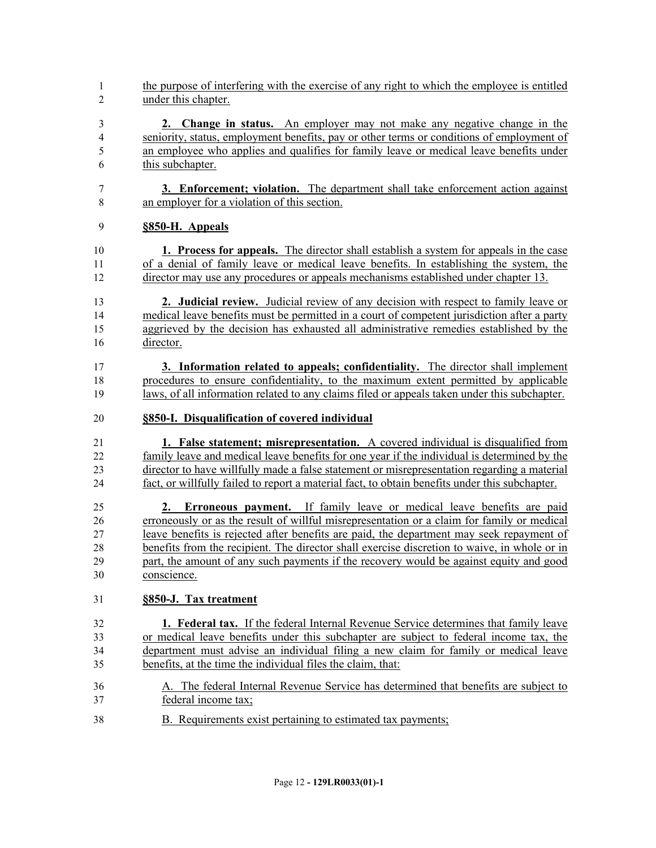- the purpose of interfering with the exercise of any right to which the employee is entitled under this chapter.
- **2. Change in status.** An employer may not make any negative change in the seniority, status, employment benefits, pay or other terms or conditions of employment of an employee who applies and qualifies for family leave or medical leave benefits under this subchapter.
- **3. Enforcement; violation.** The department shall take enforcement action against an employer for a violation of this section.

#### **§850-H. Appeals**

- **1. Process for appeals.** The director shall establish a system for appeals in the case of a denial of family leave or medical leave benefits. In establishing the system, the director may use any procedures or appeals mechanisms established under chapter 13.
- **2. Judicial review.** Judicial review of any decision with respect to family leave or medical leave benefits must be permitted in a court of competent jurisdiction after a party aggrieved by the decision has exhausted all administrative remedies established by the director.
- **3. Information related to appeals; confidentiality.** The director shall implement procedures to ensure confidentiality, to the maximum extent permitted by applicable laws, of all information related to any claims filed or appeals taken under this subchapter.
- **§850-I. Disqualification of covered individual**
- **1. False statement; misrepresentation.** A covered individual is disqualified from family leave and medical leave benefits for one year if the individual is determined by the director to have willfully made a false statement or misrepresentation regarding a material fact, or willfully failed to report a material fact, to obtain benefits under this subchapter.
- **2. Erroneous payment.** If family leave or medical leave benefits are paid erroneously or as the result of willful misrepresentation or a claim for family or medical leave benefits is rejected after benefits are paid, the department may seek repayment of benefits from the recipient. The director shall exercise discretion to waive, in whole or in part, the amount of any such payments if the recovery would be against equity and good conscience.
- **§850-J. Tax treatment**
- **1. Federal tax.** If the federal Internal Revenue Service determines that family leave or medical leave benefits under this subchapter are subject to federal income tax, the department must advise an individual filing a new claim for family or medical leave benefits, at the time the individual files the claim, that:
- A. The federal Internal Revenue Service has determined that benefits are subject to federal income tax;
- B. Requirements exist pertaining to estimated tax payments;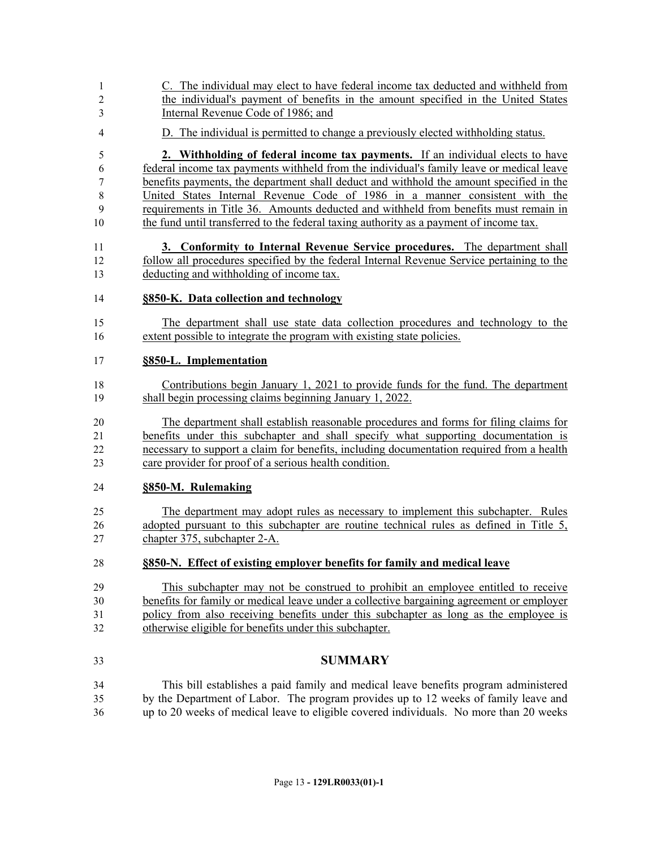C. The individual may elect to have federal income tax deducted and withheld from the individual's payment of benefits in the amount specified in the United States Internal Revenue Code of 1986; and D. The individual is permitted to change a previously elected withholding status. **2. Withholding of federal income tax payments.** If an individual elects to have federal income tax payments withheld from the individual's family leave or medical leave benefits payments, the department shall deduct and withhold the amount specified in the United States Internal Revenue Code of 1986 in a manner consistent with the requirements in Title 36. Amounts deducted and withheld from benefits must remain in the fund until transferred to the federal taxing authority as a payment of income tax. **3. Conformity to Internal Revenue Service procedures.** The department shall follow all procedures specified by the federal Internal Revenue Service pertaining to the deducting and withholding of income tax. **§850-K. Data collection and technology** The department shall use state data collection procedures and technology to the extent possible to integrate the program with existing state policies. **§850-L. Implementation** Contributions begin January 1, 2021 to provide funds for the fund. The department shall begin processing claims beginning January 1, 2022. The department shall establish reasonable procedures and forms for filing claims for benefits under this subchapter and shall specify what supporting documentation is necessary to support a claim for benefits, including documentation required from a health care provider for proof of a serious health condition. **§850-M. Rulemaking** The department may adopt rules as necessary to implement this subchapter. Rules adopted pursuant to this subchapter are routine technical rules as defined in Title 5, chapter 375, subchapter 2-A. **§850-N. Effect of existing employer benefits for family and medical leave** This subchapter may not be construed to prohibit an employee entitled to receive benefits for family or medical leave under a collective bargaining agreement or employer policy from also receiving benefits under this subchapter as long as the employee is otherwise eligible for benefits under this subchapter. **SUMMARY** This bill establishes a paid family and medical leave benefits program administered by the Department of Labor. The program provides up to 12 weeks of family leave and up to 20 weeks of medical leave to eligible covered individuals. No more than 20 weeks